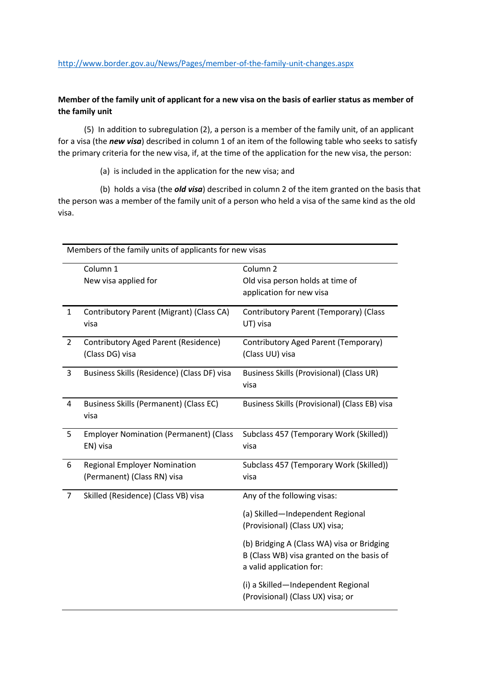## **Member of the family unit of applicant for a new visa on the basis of earlier status as member of the family unit**

 (5) In addition to subregulation (2), a person is a member of the family unit, of an applicant for a visa (the *new visa*) described in column 1 of an item of the following table who seeks to satisfy the primary criteria for the new visa, if, at the time of the application for the new visa, the person:

(a) is included in the application for the new visa; and

 (b) holds a visa (the *old visa*) described in column 2 of the item granted on the basis that the person was a member of the family unit of a person who held a visa of the same kind as the old visa.

| Members of the family units of applicants for new visas |                                                                    |                                                                                                                     |  |
|---------------------------------------------------------|--------------------------------------------------------------------|---------------------------------------------------------------------------------------------------------------------|--|
|                                                         | Column 1<br>New visa applied for                                   | Column <sub>2</sub><br>Old visa person holds at time of<br>application for new visa                                 |  |
| $\mathbf{1}$                                            | Contributory Parent (Migrant) (Class CA)<br>visa                   | Contributory Parent (Temporary) (Class<br>UT) visa                                                                  |  |
| $\overline{2}$                                          | Contributory Aged Parent (Residence)<br>(Class DG) visa            | Contributory Aged Parent (Temporary)<br>(Class UU) visa                                                             |  |
| 3                                                       | Business Skills (Residence) (Class DF) visa                        | Business Skills (Provisional) (Class UR)<br>visa                                                                    |  |
| 4                                                       | Business Skills (Permanent) (Class EC)<br>visa                     | Business Skills (Provisional) (Class EB) visa                                                                       |  |
| 5                                                       | <b>Employer Nomination (Permanent) (Class</b><br>EN) visa          | Subclass 457 (Temporary Work (Skilled))<br>visa                                                                     |  |
| 6                                                       | <b>Regional Employer Nomination</b><br>(Permanent) (Class RN) visa | Subclass 457 (Temporary Work (Skilled))<br>visa                                                                     |  |
| $\overline{7}$                                          | Skilled (Residence) (Class VB) visa                                | Any of the following visas:                                                                                         |  |
|                                                         |                                                                    | (a) Skilled-Independent Regional<br>(Provisional) (Class UX) visa;                                                  |  |
|                                                         |                                                                    | (b) Bridging A (Class WA) visa or Bridging<br>B (Class WB) visa granted on the basis of<br>a valid application for: |  |
|                                                         |                                                                    | (i) a Skilled-Independent Regional<br>(Provisional) (Class UX) visa; or                                             |  |